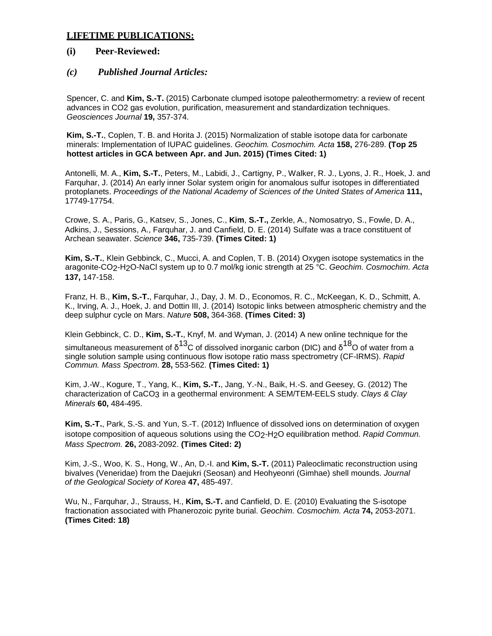## **LIFETIME PUBLICATIONS:**

## **(i) Peer-Reviewed:**

## *(c) Published Journal Articles:*

Spencer, C. and **Kim, S.-T.** (2015) Carbonate clumped isotope paleothermometry: a review of recent advances in CO2 gas evolution, purification, measurement and standardization techniques. *Geosciences Journal* **19,** 357-374.

**Kim, S.-T.**, Coplen, T. B. and Horita J. (2015) Normalization of stable isotope data for carbonate minerals: Implementation of IUPAC guidelines. *Geochim. Cosmochim. Acta* **158,** 276-289. **(Top 25 hottest articles in GCA between Apr. and Jun. 2015) (Times Cited: 1)** 

Antonelli, M. A., **Kim, S.-T.**, Peters, M., Labidi, J., Cartigny, P., Walker, R. J., Lyons, J. R., Hoek, J. and Farquhar, J. (2014) An early inner Solar system origin for anomalous sulfur isotopes in differentiated protoplanets. *Proceedings of the National Academy of Sciences of the United States of America* **111,**  17749-17754.

Crowe, S. A., Paris, G., Katsev, S., Jones, C., **Kim**, **S.-T.,** Zerkle, A., Nomosatryo, S., Fowle, D. A., Adkins, J., Sessions, A., Farquhar, J. and Canfield, D. E. (2014) Sulfate was a trace constituent of Archean seawater. *Science* **346,** 735-739. **(Times Cited: 1)**

**Kim, S.-T.**, Klein Gebbinck, C., Mucci, A. and Coplen, T. B. (2014) Oxygen isotope systematics in the aragonite-CO2-H2O-NaCl system up to 0.7 mol/kg ionic strength at 25 °C. *Geochim. Cosmochim. Acta* **137,** 147-158.

Franz, H. B., **Kim, S.-T.**, Farquhar, J., Day, J. M. D., Economos, R. C., McKeegan, K. D., Schmitt, A. K., Irving, A. J., Hoek, J. and Dottin III, J. (2014) Isotopic links between atmospheric chemistry and the deep sulphur cycle on Mars. *Nature* **508,** 364-368. **(Times Cited: 3)**

Klein Gebbinck, C. D., **Kim, S.-T.**, Knyf, M. and Wyman, J. (2014) A new online technique for the simultaneous measurement of  $\delta^{13}$ C of dissolved inorganic carbon (DIC) and  $\delta^{18}$ O of water from a single solution sample using continuous flow isotope ratio mass spectrometry (CF-IRMS). *Rapid Commun. Mass Spectrom.* **28,** 553-562. **(Times Cited: 1)**

Kim, J.-W., Kogure, T., Yang, K., **Kim, S.-T.**, Jang, Y.-N., Baik, H.-S. and Geesey, G. (2012) The characterization of CaCO3 in a geothermal environment: A SEM/TEM-EELS study. *Clays & Clay Minerals* **60,** 484-495.

**Kim, S.-T.**, Park, S.-S. and Yun, S.-T. (2012) Influence of dissolved ions on determination of oxygen isotope composition of aqueous solutions using the CO2-H2O equilibration method. *Rapid Commun. Mass Spectrom.* **26,** 2083-2092. **(Times Cited: 2)**

Kim, J.-S., Woo, K. S., Hong, W., An, D.-I. and **Kim, S.-T.** (2011) Paleoclimatic reconstruction using bivalves (Veneridae) from the Daejukri (Seosan) and Heohyeonri (Gimhae) shell mounds. *Journal of the Geological Society of Korea* **47,** 485-497.

Wu, N., Farquhar, J., Strauss, H., **Kim, S.-T.** and Canfield, D. E. (2010) Evaluating the S-isotope fractionation associated with Phanerozoic pyrite burial. *Geochim. Cosmochim. Acta* **74,** 2053-2071. **(Times Cited: 18)**